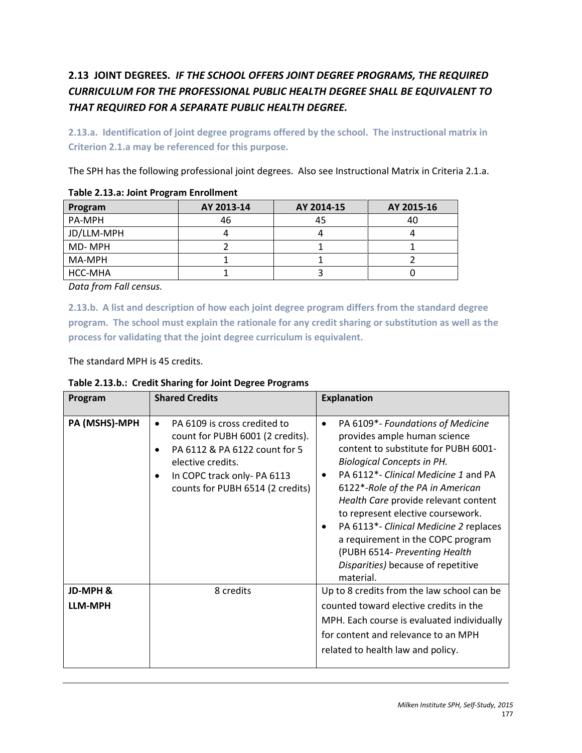# **2.13 JOINT DEGREES.** *IF THE SCHOOL OFFERS JOINT DEGREE PROGRAMS, THE REQUIRED CURRICULUM FOR THE PROFESSIONAL PUBLIC HEALTH DEGREE SHALL BE EQUIVALENT TO THAT REQUIRED FOR A SEPARATE PUBLIC HEALTH DEGREE.*

**2.13.a. Identification of joint degree programs offered by the school. The instructional matrix in Criterion 2.1.a may be referenced for this purpose.**

The SPH has the following professional joint degrees. Also see Instructional Matrix in Criteria 2.1.a.

| Program    | AY 2013-14 | AY 2014-15 | AY 2015-16 |  |  |
|------------|------------|------------|------------|--|--|
| PA-MPH     | 46         | 45         | 40         |  |  |
| JD/LLM-MPH |            |            |            |  |  |
| MD-MPH     |            |            |            |  |  |
| MA-MPH     |            |            |            |  |  |
| HCC-MHA    |            |            |            |  |  |

| Table 2.13.a: Joint Program Enrollment |  |  |  |  |  |
|----------------------------------------|--|--|--|--|--|
|----------------------------------------|--|--|--|--|--|

*Data from Fall census.*

**2.13.b. A list and description of how each joint degree program differs from the standard degree program. The school must explain the rationale for any credit sharing or substitution as well as the process for validating that the joint degree curriculum is equivalent.**

The standard MPH is 45 credits.

| Program                    | <b>Shared Credits</b>                                                                                                                                                                                 | <b>Explanation</b>                                                                                                                                                                                                                                                                                                                                                                                                                                                                                   |
|----------------------------|-------------------------------------------------------------------------------------------------------------------------------------------------------------------------------------------------------|------------------------------------------------------------------------------------------------------------------------------------------------------------------------------------------------------------------------------------------------------------------------------------------------------------------------------------------------------------------------------------------------------------------------------------------------------------------------------------------------------|
| PA (MSHS)-MPH              | PA 6109 is cross credited to<br>$\bullet$<br>count for PUBH 6001 (2 credits).<br>PA 6112 & PA 6122 count for 5<br>elective credits.<br>In COPC track only-PA 6113<br>counts for PUBH 6514 (2 credits) | PA 6109*- Foundations of Medicine<br>$\bullet$<br>provides ample human science<br>content to substitute for PUBH 6001-<br><b>Biological Concepts in PH.</b><br>PA 6112 <sup>*</sup> - Clinical Medicine 1 and PA<br>6122*-Role of the PA in American<br>Health Care provide relevant content<br>to represent elective coursework.<br>PA 6113*- Clinical Medicine 2 replaces<br>a requirement in the COPC program<br>(PUBH 6514- Preventing Health<br>Disparities) because of repetitive<br>material. |
| JD-MPH &<br><b>LLM-MPH</b> | 8 credits                                                                                                                                                                                             | Up to 8 credits from the law school can be<br>counted toward elective credits in the<br>MPH. Each course is evaluated individually<br>for content and relevance to an MPH<br>related to health law and policy.                                                                                                                                                                                                                                                                                       |